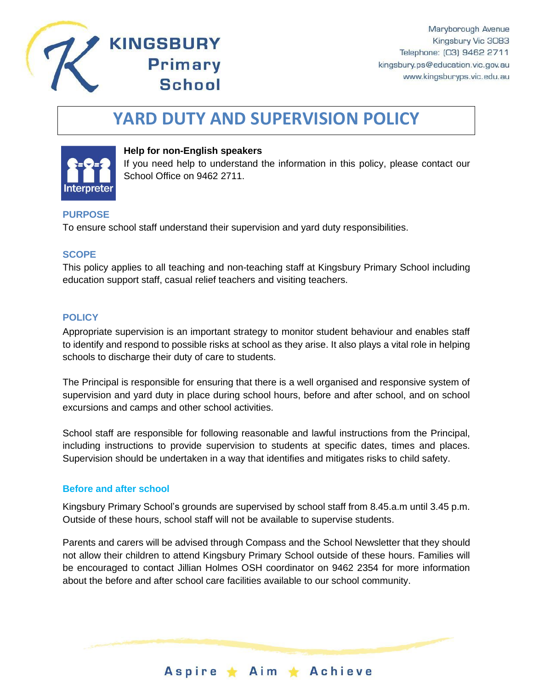

# **YARD DUTY AND SUPERVISION POLICY**



## **Help for non-English speakers**

**KINGSBURY** 

**Primary** 

**School** 

If you need help to understand the information in this policy, please contact our School Office on 9462 2711.

## **PURPOSE**

To ensure school staff understand their supervision and yard duty responsibilities.

#### **SCOPE**

This policy applies to all teaching and non-teaching staff at Kingsbury Primary School including education support staff, casual relief teachers and visiting teachers.

#### **POLICY**

Appropriate supervision is an important strategy to monitor student behaviour and enables staff to identify and respond to possible risks at school as they arise. It also plays a vital role in helping schools to discharge their duty of care to students.

The Principal is responsible for ensuring that there is a well organised and responsive system of supervision and yard duty in place during school hours, before and after school, and on school excursions and camps and other school activities.

School staff are responsible for following reasonable and lawful instructions from the Principal, including instructions to provide supervision to students at specific dates, times and places. Supervision should be undertaken in a way that identifies and mitigates risks to child safety.

#### **Before and after school**

Kingsbury Primary School's grounds are supervised by school staff from 8.45.a.m until 3.45 p.m. Outside of these hours, school staff will not be available to supervise students.

Parents and carers will be advised through Compass and the School Newsletter that they should not allow their children to attend Kingsbury Primary School outside of these hours. Families will be encouraged to contact Jillian Holmes OSH coordinator on 9462 2354 for more information about the before and after school care facilities available to our school community.

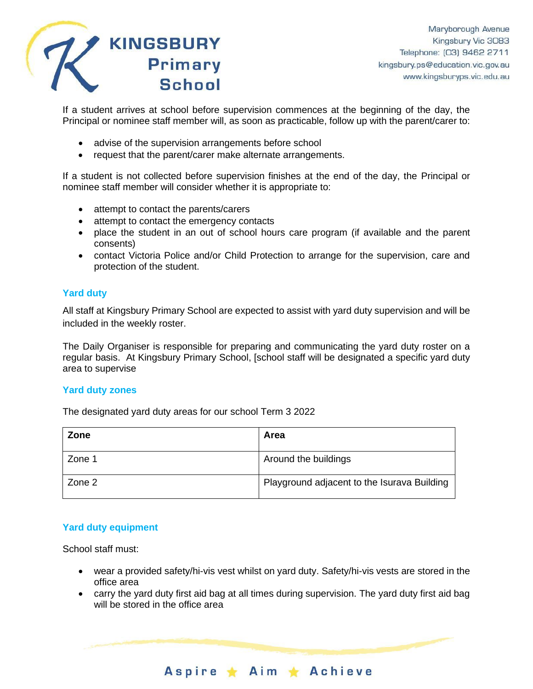

If a student arrives at school before supervision commences at the beginning of the day, the Principal or nominee staff member will, as soon as practicable, follow up with the parent/carer to:

- advise of the supervision arrangements before school
- request that the parent/carer make alternate arrangements.

If a student is not collected before supervision finishes at the end of the day, the Principal or nominee staff member will consider whether it is appropriate to:

- attempt to contact the parents/carers
- attempt to contact the emergency contacts
- place the student in an out of school hours care program (if available and the parent consents)
- contact Victoria Police and/or Child Protection to arrange for the supervision, care and protection of the student.

# **Yard duty**

All staff at Kingsbury Primary School are expected to assist with yard duty supervision and will be included in the weekly roster.

The Daily Organiser is responsible for preparing and communicating the yard duty roster on a regular basis. At Kingsbury Primary School, [school staff will be designated a specific yard duty area to supervise

#### **Yard duty zones**

The designated yard duty areas for our school Term 3 2022

| Zone   | Area                                        |
|--------|---------------------------------------------|
| Zone 1 | Around the buildings                        |
| Zone 2 | Playground adjacent to the Isurava Building |

## **Yard duty equipment**

School staff must:

- wear a provided safety/hi-vis vest whilst on yard duty. Safety/hi-vis vests are stored in the office area
- carry the yard duty first aid bag at all times during supervision. The yard duty first aid bag will be stored in the office area

Aspire \* Aim \* Achieve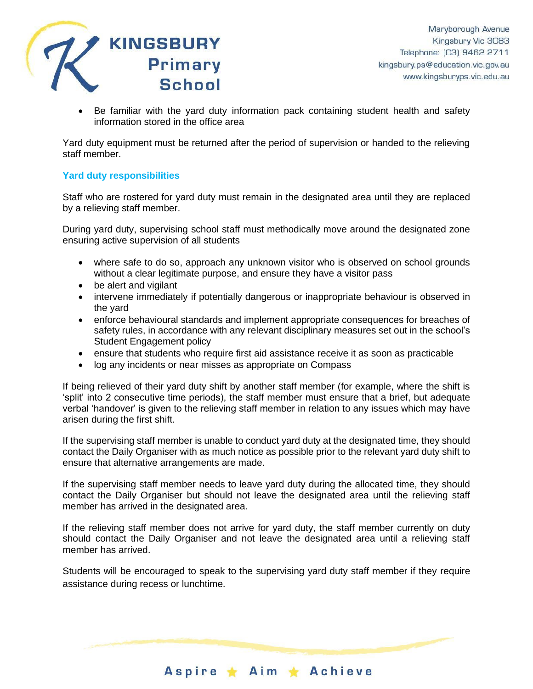

• Be familiar with the yard duty information pack containing student health and safety information stored in the office area

Yard duty equipment must be returned after the period of supervision or handed to the relieving staff member.

## **Yard duty responsibilities**

Staff who are rostered for yard duty must remain in the designated area until they are replaced by a relieving staff member.

During yard duty, supervising school staff must methodically move around the designated zone ensuring active supervision of all students

- where safe to do so, approach any unknown visitor who is observed on school grounds without a clear legitimate purpose, and ensure they have a visitor pass
- be alert and vigilant
- intervene immediately if potentially dangerous or inappropriate behaviour is observed in the yard
- enforce behavioural standards and implement appropriate consequences for breaches of safety rules, in accordance with any relevant disciplinary measures set out in the school's Student Engagement policy
- ensure that students who require first aid assistance receive it as soon as practicable
- log any incidents or near misses as appropriate on Compass

If being relieved of their yard duty shift by another staff member (for example, where the shift is 'split' into 2 consecutive time periods), the staff member must ensure that a brief, but adequate verbal 'handover' is given to the relieving staff member in relation to any issues which may have arisen during the first shift.

If the supervising staff member is unable to conduct yard duty at the designated time, they should contact the Daily Organiser with as much notice as possible prior to the relevant yard duty shift to ensure that alternative arrangements are made.

If the supervising staff member needs to leave yard duty during the allocated time, they should contact the Daily Organiser but should not leave the designated area until the relieving staff member has arrived in the designated area.

If the relieving staff member does not arrive for yard duty, the staff member currently on duty should contact the Daily Organiser and not leave the designated area until a relieving staff member has arrived.

Students will be encouraged to speak to the supervising yard duty staff member if they require assistance during recess or lunchtime.

Aspire ★ Aim ★ Achieve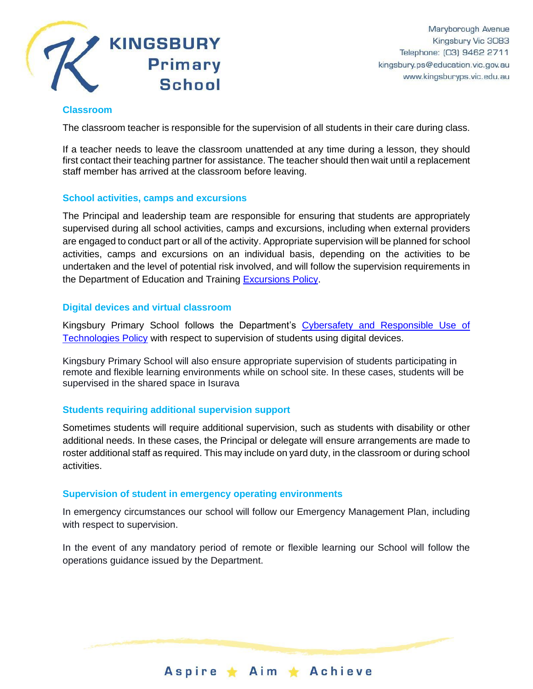

#### **Classroom**

The classroom teacher is responsible for the supervision of all students in their care during class.

If a teacher needs to leave the classroom unattended at any time during a lesson, they should first contact their teaching partner for assistance. The teacher should then wait until a replacement staff member has arrived at the classroom before leaving.

#### **School activities, camps and excursions**

The Principal and leadership team are responsible for ensuring that students are appropriately supervised during all school activities, camps and excursions, including when external providers are engaged to conduct part or all of the activity. Appropriate supervision will be planned for school activities, camps and excursions on an individual basis, depending on the activities to be undertaken and the level of potential risk involved, and will follow the supervision requirements in the Department of Education and Training [Excursions Policy.](https://www2.education.vic.gov.au/pal/excursions/policy)

#### **Digital devices and virtual classroom**

Kingsbury Primary School follows the Department's Cybersafety and Responsible Use of [Technologies Policy](https://www2.education.vic.gov.au/pal/cybersafety/policy) with respect to supervision of students using digital devices.

Kingsbury Primary School will also ensure appropriate supervision of students participating in remote and flexible learning environments while on school site. In these cases, students will be supervised in the shared space in Isurava

## **Students requiring additional supervision support**

Sometimes students will require additional supervision, such as students with disability or other additional needs. In these cases, the Principal or delegate will ensure arrangements are made to roster additional staff as required. This may include on yard duty, in the classroom or during school activities.

#### **Supervision of student in emergency operating environments**

In emergency circumstances our school will follow our Emergency Management Plan, including with respect to supervision.

In the event of any mandatory period of remote or flexible learning our School will follow the operations guidance issued by the Department.

Aspire ★ Aim ★ Achieve